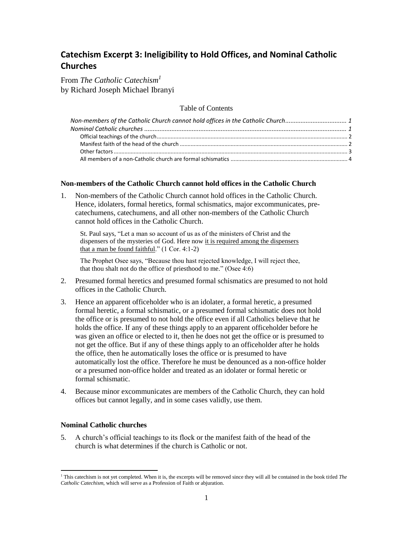# **Catechism Excerpt 3: Ineligibility to Hold Offices, and Nominal Catholic Churches**

From *The Catholic Catechism<sup>1</sup>* by Richard Joseph Michael Ibranyi

Table of Contents

| Non-members of the Catholic Church cannot hold offices in the Catholic Church 1 |  |
|---------------------------------------------------------------------------------|--|
|                                                                                 |  |
|                                                                                 |  |
|                                                                                 |  |
|                                                                                 |  |
|                                                                                 |  |

## <span id="page-0-0"></span>**Non-members of the Catholic Church cannot hold offices in the Catholic Church**

1. Non-members of the Catholic Church cannot hold offices in the Catholic Church. Hence, idolaters, formal heretics, formal schismatics, major excommunicates, precatechumens, catechumens, and all other non-members of the Catholic Church cannot hold offices in the Catholic Church.

St. Paul says, "Let a man so account of us as of the ministers of Christ and the dispensers of the mysteries of God. Here now it is required among the dispensers that a man be found faithful." (1 Cor. 4:1-2)

The Prophet Osee says, "Because thou hast rejected knowledge, I will reject thee, that thou shalt not do the office of priesthood to me." (Osee 4:6)

- 2. Presumed formal heretics and presumed formal schismatics are presumed to not hold offices in the Catholic Church.
- 3. Hence an apparent officeholder who is an idolater, a formal heretic, a presumed formal heretic, a formal schismatic, or a presumed formal schismatic does not hold the office or is presumed to not hold the office even if all Catholics believe that he holds the office. If any of these things apply to an apparent officeholder before he was given an office or elected to it, then he does not get the office or is presumed to not get the office. But if any of these things apply to an officeholder after he holds the office, then he automatically loses the office or is presumed to have automatically lost the office. Therefore he must be denounced as a non-office holder or a presumed non-office holder and treated as an idolater or formal heretic or formal schismatic.
- 4. Because minor excommunicates are members of the Catholic Church, they can hold offices but cannot legally, and in some cases validly, use them.

# <span id="page-0-1"></span>**Nominal Catholic churches**

l

5. A church's official teachings to its flock or the manifest faith of the head of the church is what determines if the church is Catholic or not.

<sup>1</sup> This catechism is not yet completed. When it is, the excerpts will be removed since they will all be contained in the book titled *The Catholic Catechism*, which will serve as a Profession of Faith or abjuration.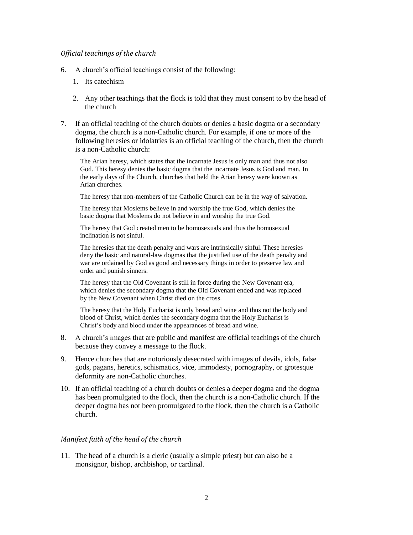#### <span id="page-1-0"></span>*Official teachings of the church*

- 6. A church's official teachings consist of the following:
	- 1. Its catechism
	- 2. Any other teachings that the flock is told that they must consent to by the head of the church
- <span id="page-1-2"></span>7. If an official teaching of the church doubts or denies a basic dogma or a secondary dogma, the church is a non-Catholic church. For example, if one or more of the following heresies or idolatries is an official teaching of the church, then the church is a non-Catholic church:

The Arian heresy, which states that the incarnate Jesus is only man and thus not also God. This heresy denies the basic dogma that the incarnate Jesus is God and man. In the early days of the Church, churches that held the Arian heresy were known as Arian churches.

The heresy that non-members of the Catholic Church can be in the way of salvation.

The heresy that Moslems believe in and worship the true God, which denies the basic dogma that Moslems do not believe in and worship the true God.

The heresy that God created men to be homosexuals and thus the homosexual inclination is not sinful.

The heresies that the death penalty and wars are intrinsically sinful. These heresies deny the basic and natural-law dogmas that the justified use of the death penalty and war are ordained by God as good and necessary things in order to preserve law and order and punish sinners.

The heresy that the Old Covenant is still in force during the New Covenant era, which denies the secondary dogma that the Old Covenant ended and was replaced by the New Covenant when Christ died on the cross.

The heresy that the Holy Eucharist is only bread and wine and thus not the body and blood of Christ, which denies the secondary dogma that the Holy Eucharist is Christ's body and blood under the appearances of bread and wine.

- 8. A church's images that are public and manifest are official teachings of the church because they convey a message to the flock.
- 9. Hence churches that are notoriously desecrated with images of devils, idols, false gods, pagans, heretics, schismatics, vice, immodesty, pornography, or grotesque deformity are non-Catholic churches.
- 10. If an official teaching of a church doubts or denies a deeper dogma and the dogma has been promulgated to the flock, then the church is a non-Catholic church. If the deeper dogma has not been promulgated to the flock, then the church is a Catholic church.

# <span id="page-1-1"></span>*Manifest faith of the head of the church*

11. The head of a church is a cleric (usually a simple priest) but can also be a monsignor, bishop, archbishop, or cardinal.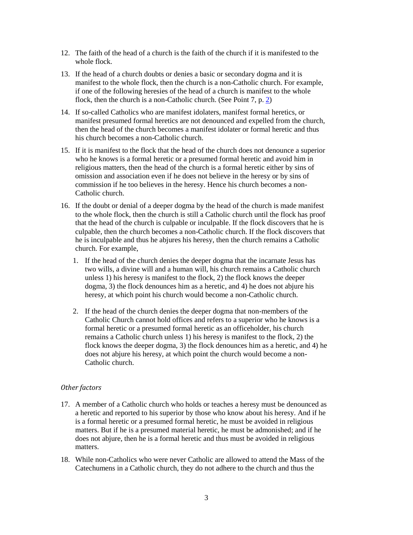- 12. The faith of the head of a church is the faith of the church if it is manifested to the whole flock.
- 13. If the head of a church doubts or denies a basic or secondary dogma and it is manifest to the whole flock, then the church is a non-Catholic church. For example, if one of the following heresies of the head of a church is manifest to the whole flock, then the church is a non-Catholic church. (See Point 7, p. [2\)](#page-1-2)
- 14. If so-called Catholics who are manifest idolaters, manifest formal heretics, or manifest presumed formal heretics are not denounced and expelled from the church, then the head of the church becomes a manifest idolater or formal heretic and thus his church becomes a non-Catholic church.
- 15. If it is manifest to the flock that the head of the church does not denounce a superior who he knows is a formal heretic or a presumed formal heretic and avoid him in religious matters, then the head of the church is a formal heretic either by sins of omission and association even if he does not believe in the heresy or by sins of commission if he too believes in the heresy. Hence his church becomes a non-Catholic church.
- 16. If the doubt or denial of a deeper dogma by the head of the church is made manifest to the whole flock, then the church is still a Catholic church until the flock has proof that the head of the church is culpable or inculpable. If the flock discovers that he is culpable, then the church becomes a non-Catholic church. If the flock discovers that he is inculpable and thus he abjures his heresy, then the church remains a Catholic church. For example,
	- 1. If the head of the church denies the deeper dogma that the incarnate Jesus has two wills, a divine will and a human will, his church remains a Catholic church unless 1) his heresy is manifest to the flock, 2) the flock knows the deeper dogma, 3) the flock denounces him as a heretic, and 4) he does not abjure his heresy, at which point his church would become a non-Catholic church.
	- 2. If the head of the church denies the deeper dogma that non-members of the Catholic Church cannot hold offices and refers to a superior who he knows is a formal heretic or a presumed formal heretic as an officeholder, his church remains a Catholic church unless 1) his heresy is manifest to the flock, 2) the flock knows the deeper dogma, 3) the flock denounces him as a heretic, and 4) he does not abjure his heresy, at which point the church would become a non-Catholic church.

## <span id="page-2-0"></span>*Other factors*

- 17. A member of a Catholic church who holds or teaches a heresy must be denounced as a heretic and reported to his superior by those who know about his heresy. And if he is a formal heretic or a presumed formal heretic, he must be avoided in religious matters. But if he is a presumed material heretic, he must be admonished; and if he does not abjure, then he is a formal heretic and thus must be avoided in religious matters.
- 18. While non-Catholics who were never Catholic are allowed to attend the Mass of the Catechumens in a Catholic church, they do not adhere to the church and thus the